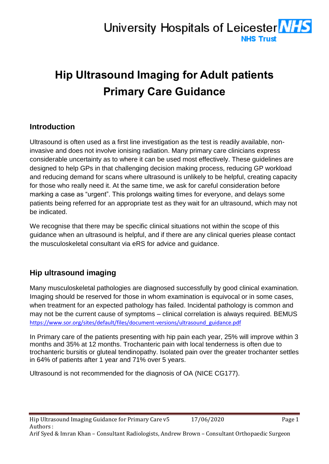# University Hospitals of Leicester **NES NHS Trust**

# **Hip Ultrasound Imaging for Adult patients Primary Care Guidance**

### **Introduction**

Ultrasound is often used as a first line investigation as the test is readily available, noninvasive and does not involve ionising radiation. Many primary care clinicians express considerable uncertainty as to where it can be used most effectively. These guidelines are designed to help GPs in that challenging decision making process, reducing GP workload and reducing demand for scans where ultrasound is unlikely to be helpful, creating capacity for those who really need it. At the same time, we ask for careful consideration before marking a case as "urgent". This prolongs waiting times for everyone, and delays some patients being referred for an appropriate test as they wait for an ultrasound, which may not be indicated.

We recognise that there may be specific clinical situations not within the scope of this guidance when an ultrasound is helpful, and if there are any clinical queries please contact the musculoskeletal consultant via eRS for advice and guidance.

## **Hip ultrasound imaging**

Many musculoskeletal pathologies are diagnosed successfully by good clinical examination. Imaging should be reserved for those in whom examination is equivocal or in some cases, when treatment for an expected pathology has failed. Incidental pathology is common and may not be the current cause of symptoms – clinical correlation is always required. BEMUS [https://www.sor.org/sites/default/files/document-versions/ultrasound\\_guidance.pdf](https://www.sor.org/sites/default/files/document-versions/ultrasound_guidance.pdf)

In Primary care of the patients presenting with hip pain each year, 25% will improve within 3 months and 35% at 12 months. Trochanteric pain with local tenderness is often due to trochanteric bursitis or gluteal tendinopathy. Isolated pain over the greater trochanter settles in 64% of patients after 1 year and 71% over 5 years.

Ultrasound is not recommended for the diagnosis of OA (NICE CG177).